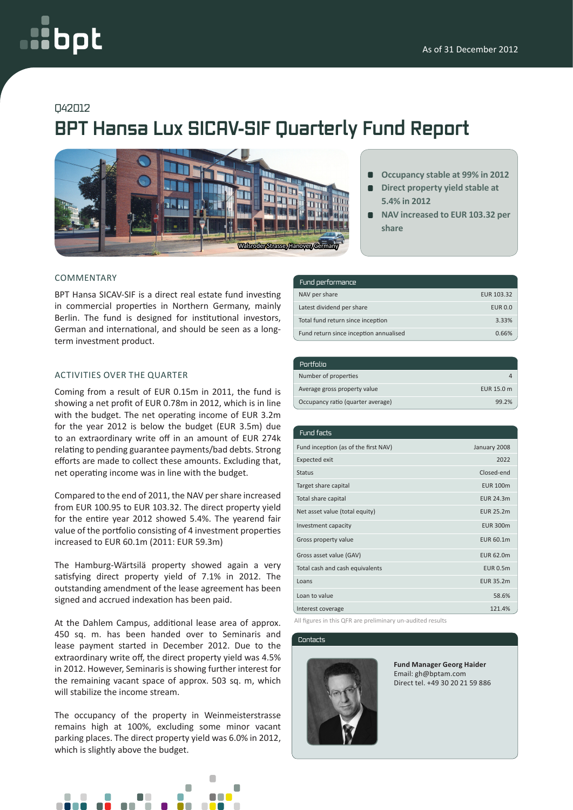# oot

### Q42012

## **BPT Hansa Lux SICAV-SIF Quarterly Fund Report**



#### COMMENTARY

BPT Hansa SICAV-SIF is a direct real estate fund investing in commercial properties in Northern Germany, mainly Berlin. The fund is designed for institutional investors, German and international, and should be seen as a longterm investment product.

#### ACTIVITIES OVER THE QUARTER

Coming from a result of EUR 0.15m in 2011, the fund is showing a net profit of EUR 0.78m in 2012, which is in line with the budget. The net operating income of EUR 3.2m for the year 2012 is below the budget (EUR 3.5m) due to an extraordinary write off in an amount of EUR 274k relating to pending guarantee payments/bad debts. Strong efforts are made to collect these amounts. Excluding that, net operating income was in line with the budget.

Compared to the end of 2011, the NAV per share increased from EUR 100.95 to EUR 103.32. The direct property yield for the entire year 2012 showed 5.4%. The yearend fair value of the portfolio consisting of 4 investment properties increased to EUR 60.1m (2011: EUR 59.3m)

The Hamburg-Wärtsilä property showed again a very satisfying direct property yield of 7.1% in 2012. The outstanding amendment of the lease agreement has been signed and accrued indexation has been paid.

At the Dahlem Campus, additional lease area of approx. 450 sq. m. has been handed over to Seminaris and lease payment started in December 2012. Due to the extraordinary write off, the direct property yield was 4.5% in 2012. However, Seminaris is showing further interest for the remaining vacant space of approx. 503 sq. m, which will stabilize the income stream.

The occupancy of the property in Weinmeisterstrasse remains high at 100%, excluding some minor vacant parking places. The direct property yield was 6.0% in 2012, which is slightly above the budget.



|  | Occupancy stable at 99% in 2012 |  |  |  |
|--|---------------------------------|--|--|--|
|--|---------------------------------|--|--|--|

- **Direct property yield stable at**   $\blacksquare$ **5.4% in 2012**
- **NAV increased to EUR 103.32 per share**

| Fund performance                       |                |  |  |
|----------------------------------------|----------------|--|--|
| NAV per share                          | EUR 103.32     |  |  |
| Latest dividend per share              | <b>EUR 0.0</b> |  |  |
| Total fund return since inception      | 3.33%          |  |  |
| Fund return since inception annualised | 0.66%          |  |  |

| Portfolio                         |            |
|-----------------------------------|------------|
| Number of properties              |            |
| Average gross property value      | EUR 15.0 m |
| Occupancy ratio (quarter average) | 99.2%      |

| Fund facts                           |                  |
|--------------------------------------|------------------|
| Fund inception (as of the first NAV) | January 2008     |
| <b>Expected exit</b>                 | 2022             |
| <b>Status</b>                        | Closed-end       |
| Target share capital                 | <b>EUR 100m</b>  |
| Total share capital                  | <b>EUR 24.3m</b> |
| Net asset value (total equity)       | <b>EUR 25.2m</b> |
| Investment capacity                  | <b>EUR 300m</b>  |
| Gross property value                 | EUR 60.1m        |
| Gross asset value (GAV)              | EUR 62.0m        |
| Total cash and cash equivalents      | <b>EUR 0.5m</b>  |
| Loans                                | EUR 35.2m        |
| Loan to value                        | 58.6%            |
| Interest coverage                    | 121.4%           |

All figures in this QFR are preliminary un-audited results

#### Contacts



**Fund Manager Georg Haider** Email: gh@bptam.com Direct tel. +49 30 20 21 59 886